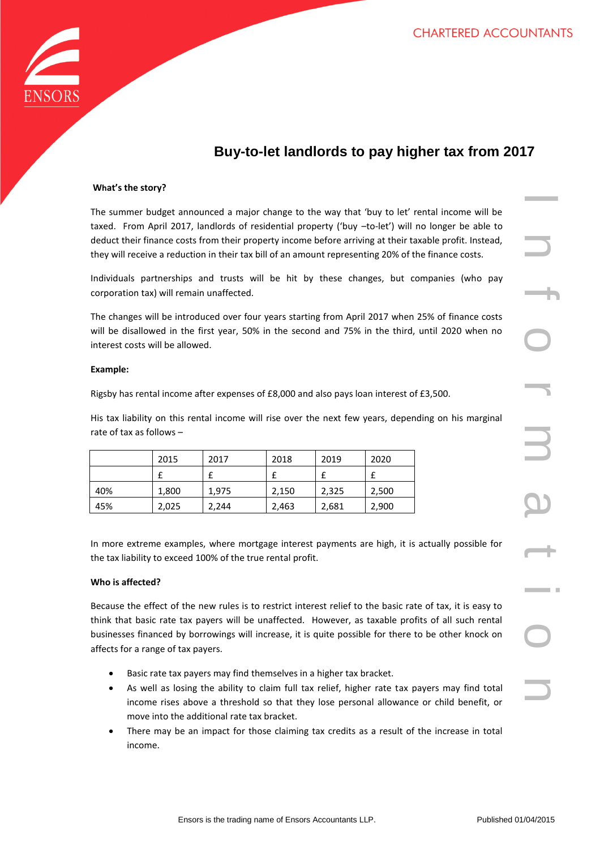

# **Buy-to-let landlords to pay higher tax from 2017**

# **What's the story?**

The summer budget announced a major change to the way that 'buy to let' rental income will be taxed. From April 2017, landlords of residential property ('buy –to-let') will no longer be able to deduct their finance costs from their property income before arriving at their taxable profit. Instead, they will receive a reduction in their tax bill of an amount representing 20% of the finance costs.

Individuals partnerships and trusts will be hit by these changes, but companies (who pay corporation tax) will remain unaffected.

The changes will be introduced over four years starting from April 2017 when 25% of finance costs will be disallowed in the first year, 50% in the second and 75% in the third, until 2020 when no interest costs will be allowed.

#### **Example:**

Rigsby has rental income after expenses of £8,000 and also pays loan interest of £3,500.

His tax liability on this rental income will rise over the next few years, depending on his marginal rate of tax as follows –

|     | 2015  | 2017  | 2018  | 2019  | 2020  |
|-----|-------|-------|-------|-------|-------|
|     |       |       |       |       |       |
| 40% | 1,800 | 1,975 | 2,150 | 2,325 | 2,500 |
| 45% | 2,025 | 2,244 | 2,463 | 2,681 | 2,900 |

In more extreme examples, where mortgage interest payments are high, it is actually possible for the tax liability to exceed 100% of the true rental profit.

### **Who is affected?**

Because the effect of the new rules is to restrict interest relief to the basic rate of tax, it is easy to think that basic rate tax payers will be unaffected. However, as taxable profits of all such rental businesses financed by borrowings will increase, it is quite possible for there to be other knock on affects for a range of tax payers.

- Basic rate tax payers may find themselves in a higher tax bracket.
- As well as losing the ability to claim full tax relief, higher rate tax payers may find total income rises above a threshold so that they lose personal allowance or child benefit, or move into the additional rate tax bracket.
- There may be an impact for those claiming tax credits as a result of the increase in total income.